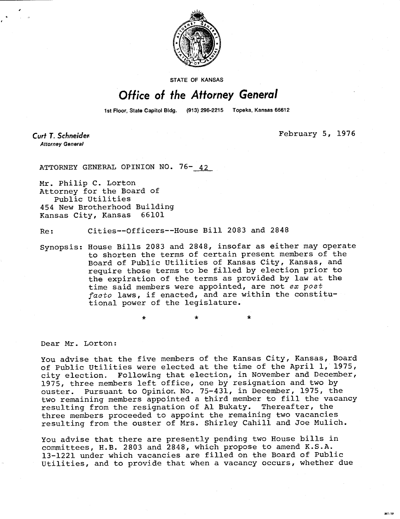

**STATE OF KANSAS** 

## Office of the Attorney General

1st Floor, State Capitol Bldg. (913) 296-2215 Topeka, Kansas 66612

Curt T. Schneider **Attorney General** 

February 5, 1976

MI-10

ATTORNEY GENERAL OPINION NO. 76- 42

Mr. Philip C. Lorton Attorney for the Board of Public Utilities 454 New Brotherhood Building Kansas City, Kansas 66101

Re: Cities--Officers--House Bill 2083 and 2848

\*

Synopsis: House Bills 2083 and 2848, insofar as either may operate to shorten the terms of certain present members of the Board of Public Utilities of Kansas City, Kansas, and require those terms to be filled by election prior to the expiration of the terms as provided by law at the time said members were appointed, are not ex post  $factor$  laws, if enacted, and are within the constitutional power of the legislature.

Dear Mr. Lorton:

You advise that the five members of the Kansas City, Kansas, Board of Public Utilities were elected at the time of the April 1, 1975, city election. Following that election, in November and December, 1975, three members left office, one by resignation and two by ouster. Pursuant to Opinion. No. 75-431, in December, 1975, the two remaining members appointed a third member to fill the vacancy resulting from the resignation of Al Bukaty. Thereafter, the three members proceeded to appoint the remaining two vacancies resulting from the ouster of Mrs. Shirley Cahill and Joe Mulich.

You advise that there are presently pending two House bills in committees, H.B. 2803 and 2848, which propose to amend K.S.A. 13-1221 under which vacancies are filled on the Board of Public Utilities, and to provide that when a vacancy occurs, whether due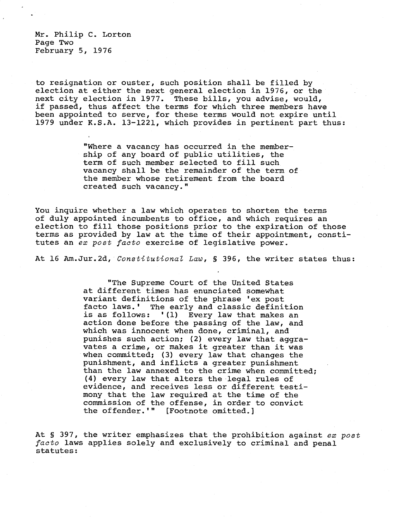Mr. Philip C. Lorton Page Two February 5, 1976

to resignation or ouster, such position shall be filled by election at either the next general election in 1976, or the next city election in 1977. These bills, you advise, would, if passed, thus affect the terms for which three members have been appointed to serve, for these terms would not expire until 1979 under K.S.A. 13-1221, which provides in pertinent part thus:

> "Where a vacancy has occurred in the membership of any board of public utilities, the term of such member selected to fill such vacancy shall be the remainder of the term of the member whose retirement from the board created such vacancy."

You inquire whether a law which operates to shorten the terms of duly appointed incumbents to office, and which requires an election to fill those positions prior to the expiration of those terms as provided by law at the time of their appointment, constitutes an ex post facto exercise of legislative power.

At 16 Am.Jur.2d, Constitutional Law, § 396, the writer states thus:

"The Supreme Court of the United States at different times has enunciated somewhat variant definitions of the phrase 'ex post facto laws.' The early and classic definition is as follows: '(1) Every law that makes an action done before the passing of the law, and which was innocent when done, criminal, and punishes such action; (2) every law that aggravates a crime, or makes it greater than it was when committed; (3) every law that changes the punishment, and inflicts a greater punishment than the law annexed to the crime when committed; (4) every law that alters the legal rules of evidence, and receives less or different testimony that the law required at the time of the commission of the offense, in order to convict the offender.'" [Footnote omitted.]

At § 397, the writer emphasizes that the prohibition against ex post facto laws applies solely and exclusively to criminal and penal statutes: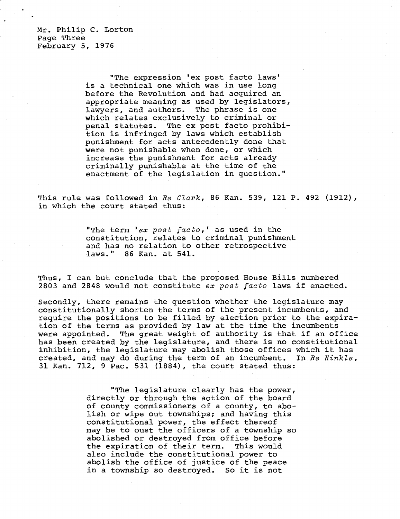Mr. Philip C. Lorton Page Three February 5, 1976

> "The expression 'ex post facto laws' is a technical one which was in use long before the Revolution and had acquired an appropriate meaning as used by legislators, lawyers, and authors. The phrase is one which relates exclusively to criminal or penal statutes. The ex post facto prohibition is infringed by laws which establish punishment for acts antecedently done that were not punishable when done, or which increase the punishment for acts already criminally punishable at the time of the enactment of the legislation in question."

This rule was followed in Re Clark, 86 Kan. 539, 121 P. 492 (1912), in which the court stated thus:

> "The term 'ex post facto,' as used in the constitution, relates to criminal punishment and has no relation to other retrospective laws." 86 Kan. at 541.

Thus, I can but conclude that the proposed House Bills numbered 2803 and 2848 would not constitute ex post facto laws if enacted.

Secondly, there remains the question whether the legislature may constitutionally shorten the terms of the present incumbents, and require the positions to be filled by election prior to the expiration of the terms as provided by law at the time the incumbents were appointed. The great weight of authority is that if an office has been created by the legislature, and there is no constitutional inhibition, the legislature may abolish those offices which it has created, and may do during the term of an incumbent. In Re Hinkle, 31 Kan. 712, 9 Pac. 531 (1884), the court stated thus:

> "The legislature clearly has the power, directly or through the action of the board of county commissioners of a county, to abolish or wipe out townships; and having this constitutional power, the effect thereof may be to oust the officers of a township so abolished or destroyed from office before the expiration of their term. This would also include the constitutional power to abolish the office of justice of the peace in a township so destroyed. So it is not